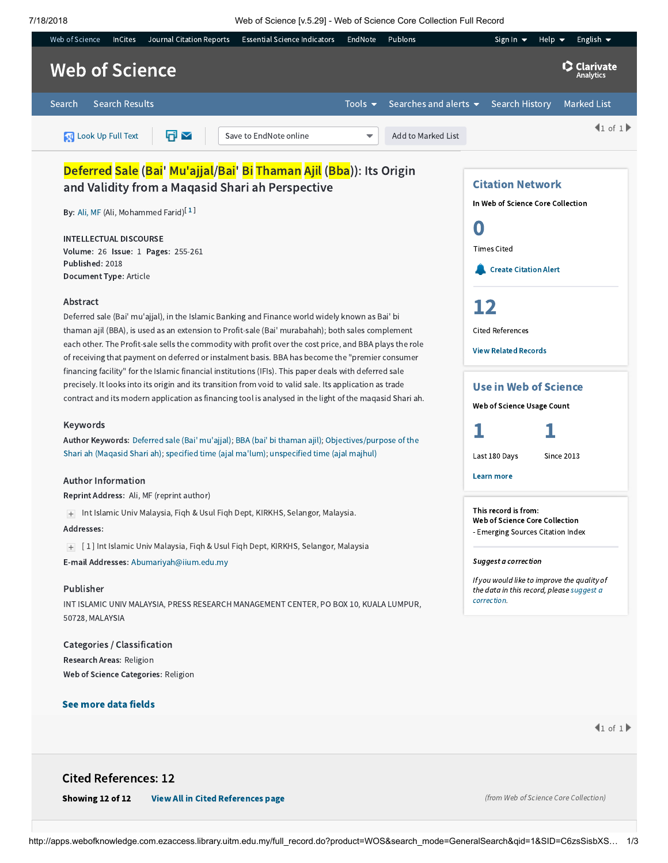7/18/2018 Web of Science [v.5.29] - Web of Science Core Collection Full Record



Author Keywords: Deferred sale (Bai' [mu'ajjal\)](http://apps.webofknowledge.com.ezaccess.library.uitm.edu.my/OneClickSearch.do?product=WOS&search_mode=OneClickSearch&excludeEventConfig=ExcludeIfFromFullRecPage&colName=WOS&SID=C6zsSisbXSyXdZiVRDC&field=TS&value=Deferred+sale+%28Bai%27+mu%27ajjal%29&uncondQuotes=true); BBA (bai' bi [thaman](http://apps.webofknowledge.com.ezaccess.library.uitm.edu.my/OneClickSearch.do?product=WOS&search_mode=OneClickSearch&excludeEventConfig=ExcludeIfFromFullRecPage&colName=WOS&SID=C6zsSisbXSyXdZiVRDC&field=TS&value=BBA+%28bai%27+bi+thaman+ajil%29&uncondQuotes=true) ajil); [Objectives/purpose](http://apps.webofknowledge.com.ezaccess.library.uitm.edu.my/OneClickSearch.do?product=WOS&search_mode=OneClickSearch&excludeEventConfig=ExcludeIfFromFullRecPage&colName=WOS&SID=C6zsSisbXSyXdZiVRDC&field=TS&value=Objectives%2Fpurpose+of+the+Shari+ah+%28Maqasid+Shari+ah%29&uncondQuotes=true) of the Shari ah (Maqasid Shari ah); specified time (ajal [ma'lum\)](http://apps.webofknowledge.com.ezaccess.library.uitm.edu.my/OneClickSearch.do?product=WOS&search_mode=OneClickSearch&excludeEventConfig=ExcludeIfFromFullRecPage&colName=WOS&SID=C6zsSisbXSyXdZiVRDC&field=TS&value=specified+time+%28ajal+ma%27lum%29&uncondQuotes=true); [unspecified](http://apps.webofknowledge.com.ezaccess.library.uitm.edu.my/OneClickSearch.do?product=WOS&search_mode=OneClickSearch&excludeEventConfig=ExcludeIfFromFullRecPage&colName=WOS&SID=C6zsSisbXSyXdZiVRDC&field=TS&value=unspecified+time+%28ajal+majhul%29&uncondQuotes=true) time (ajal majhul)

## Author Information

Reprint Address: Ali, MF (reprint author)

Int Islamic Univ Malaysia, Fiqh & Usul Fiqh Dept, KIRKHS, Selangor, Malaysia.

## Addresses:

[ 1 ] Int Islamic Univ Malaysia, Fiqh & Usul Fiqh Dept, KIRKHS, Selangor, Malaysia E-mail Addresses: [Abumariyah@iium.edu.my](mailto:Abumariyah@iium.edu.my)

#### Publisher

INT ISLAMIC UNIV MALAYSIA, PRESS RESEARCH MANAGEMENT CENTER, PO BOX 10, KUALA LUMPUR, 50728, MALAYSIA

Categories / Classification Research Areas: Religion Web of Science Categories: Religion

## See more data fields

Last 180 Days Since 2013



#### Learn more

This record is from: Web of Science Core Collection - Emerging Sources Citation Index

### Suggest a correction

If you would like to improve the quality of the data in this record, please suggest a [correction.](javascript:;)

 $1 of 1$ 

# Cited References: 12

Showing 12 of 12 [View All in Cited References page](http://apps.webofknowledge.com.ezaccess.library.uitm.edu.my/summary.do?product=WOS&parentProduct=WOS&search_mode=CitedRefList&parentQid=1&parentDoc=1&qid=3&SID=C6zsSisbXSyXdZiVRDC&colName=WOS&page=1)

(from Web of Science Core Collection)